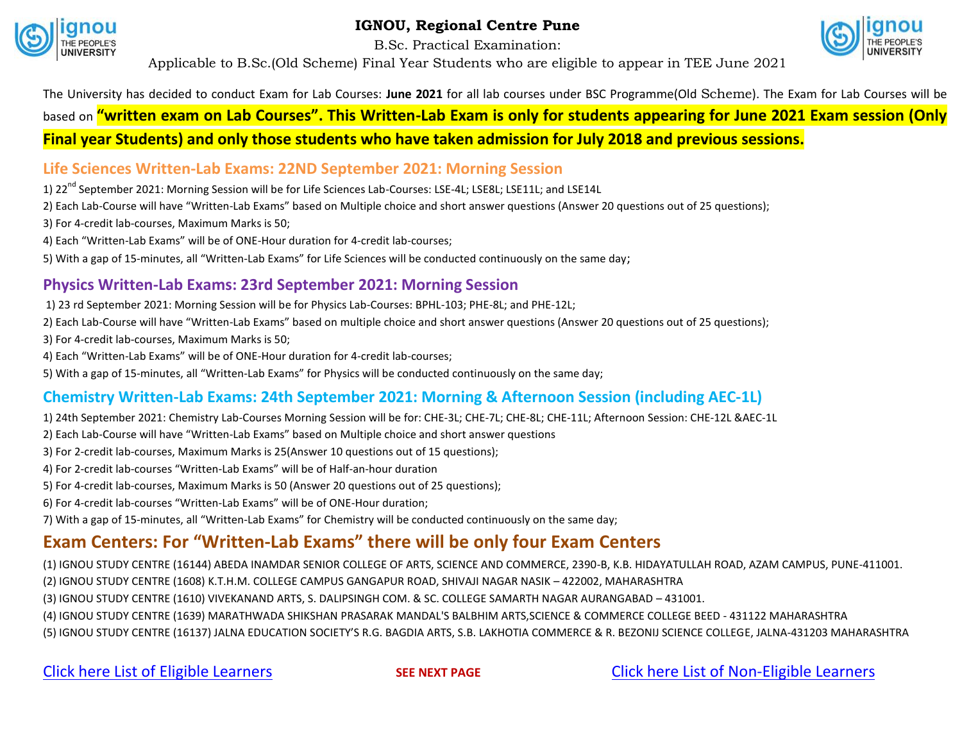

**IGNOU, Regional Centre Pune**

B.Sc. Practical Examination:



Applicable to B.Sc.(Old Scheme) Final Year Students who are eligible to appear in TEE June 2021

# The University has decided to conduct Exam for Lab Courses: **June 2021** for all lab courses under BSC Programme(Old Scheme). The Exam for Lab Courses will be based on **"written exam on Lab Courses". This Written-Lab Exam is only for students appearing for June 2021 Exam session (Only Final year Students) and only those students who have taken admission for July 2018 and previous sessions.**

## **Life Sciences Written-Lab Exams: 22ND September 2021: Morning Session**

1) 22<sup>nd</sup> September 2021: Morning Session will be for Life Sciences Lab-Courses: LSE-4L; LSE8L; LSE11L; and LSE14L

2) Each Lab-Course will have "Written-Lab Exams" based on Multiple choice and short answer questions (Answer 20 questions out of 25 questions);

- 3) For 4-credit lab-courses, Maximum Marks is 50;
- 4) Each "Written-Lab Exams" will be of ONE-Hour duration for 4-credit lab-courses;

5) With a gap of 15-minutes, all "Written-Lab Exams" for Life Sciences will be conducted continuously on the same day;

## **Physics Written-Lab Exams: 23rd September 2021: Morning Session**

1) 23 rd September 2021: Morning Session will be for Physics Lab-Courses: BPHL-103; PHE-8L; and PHE-12L;

2) Each Lab-Course will have "Written-Lab Exams" based on multiple choice and short answer questions (Answer 20 questions out of 25 questions);

- 3) For 4-credit lab-courses, Maximum Marks is 50;
- 4) Each "Written-Lab Exams" will be of ONE-Hour duration for 4-credit lab-courses;

5) With a gap of 15-minutes, all "Written-Lab Exams" for Physics will be conducted continuously on the same day;

# **Chemistry Written-Lab Exams: 24th September 2021: Morning & Afternoon Session (including AEC-1L)**

1) 24th September 2021: Chemistry Lab-Courses Morning Session will be for: CHE-3L; CHE-7L; CHE-8L; CHE-11L; Afternoon Session: CHE-12L &AEC-1L

- 2) Each Lab-Course will have "Written-Lab Exams" based on Multiple choice and short answer questions
- 3) For 2-credit lab-courses, Maximum Marks is 25(Answer 10 questions out of 15 questions);
- 4) For 2-credit lab-courses "Written-Lab Exams" will be of Half-an-hour duration
- 5) For 4-credit lab-courses, Maximum Marks is 50 (Answer 20 questions out of 25 questions);
- 6) For 4-credit lab-courses "Written-Lab Exams" will be of ONE-Hour duration;

7) With a gap of 15-minutes, all "Written-Lab Exams" for Chemistry will be conducted continuously on the same day;

# **Exam Centers: For "Written-Lab Exams" there will be only four Exam Centers**

(1) IGNOU STUDY CENTRE (16144) ABEDA INAMDAR SENIOR COLLEGE OF ARTS, SCIENCE AND COMMERCE, 2390-B, K.B. HIDAYATULLAH ROAD, AZAM CAMPUS, PUNE-411001.

- (2) IGNOU STUDY CENTRE (1608) K.T.H.M. COLLEGE CAMPUS GANGAPUR ROAD, SHIVAJI NAGAR NASIK 422002, MAHARASHTRA
- (3) IGNOU STUDY CENTRE (1610) VIVEKANAND ARTS, S. DALIPSINGH COM. & SC. COLLEGE SAMARTH NAGAR AURANGABAD 431001.
- (4) IGNOU STUDY CENTRE (1639) MARATHWADA SHIKSHAN PRASARAK MANDAL'S BALBHIM ARTS,SCIENCE & COMMERCE COLLEGE BEED 431122 MAHARASHTRA
- (5) IGNOU STUDY CENTRE (16137) JALNA EDUCATION SOCIETY'S R.G. BAGDIA ARTS, S.B. LAKHOTIA COMMERCE & R. BEZONIJ SCIENCE COLLEGE, JALNA-431203 MAHARASHTRA